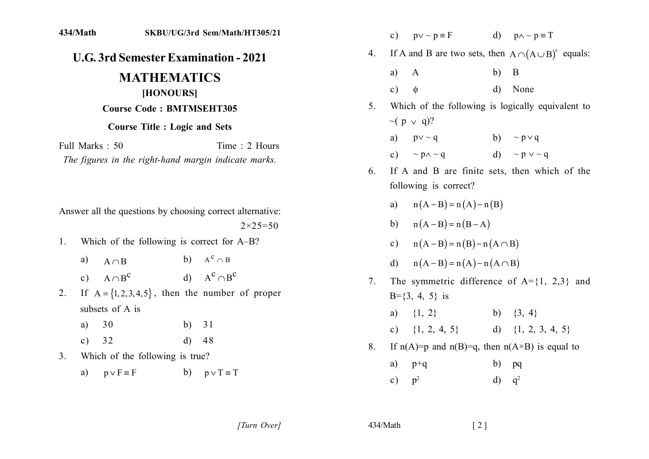| 434/Math                                                           | SKBU/UG/3rd Sem/Math/HT305/21                             |                     |                                                   | $\mathbf{c})$              | $p \vee \sim p \equiv F$                   |                                                             | d) $p \wedge \neg p \equiv T$                              |
|--------------------------------------------------------------------|-----------------------------------------------------------|---------------------|---------------------------------------------------|----------------------------|--------------------------------------------|-------------------------------------------------------------|------------------------------------------------------------|
| <b>U.G. 3rd Semester Examination - 2021</b>                        |                                                           | 4.                  |                                                   |                            |                                            | If A and B are two sets, then $A \cap (A \cup B)^c$ equals: |                                                            |
| <b>MATHEMATICS</b><br>[HONOURS]<br><b>Course Code: BMTMSEHT305</b> |                                                           |                     | a)                                                | $\mathbf{A}$               | b)                                         | $\overline{B}$                                              |                                                            |
|                                                                    |                                                           |                     | c)                                                | $\phi$                     | $\mathbf{d}$                               | None                                                        |                                                            |
|                                                                    |                                                           | 5.                  | Which of the following is logically equivalent to |                            |                                            |                                                             |                                                            |
|                                                                    | <b>Course Title : Logic and Sets</b>                      |                     |                                                   |                            | $\sim (p \vee q)?$                         |                                                             |                                                            |
| Full Marks: 50                                                     |                                                           | Time: 2 Hours       |                                                   | a)                         | $p \vee \sim q$                            |                                                             | b) $\sim p \vee q$                                         |
| The figures in the right-hand margin indicate marks.               |                                                           |                     | c)                                                | $\sim$ p $\wedge$ $\sim$ q |                                            | d) $\sim p \vee \sim q$                                     |                                                            |
|                                                                    |                                                           |                     | 6.                                                |                            | following is correct?                      |                                                             | If A and B are finite sets, then which of the              |
|                                                                    | Answer all the questions by choosing correct alternative: |                     |                                                   |                            | a) $n(A - B) = n(A) - n(B)$                |                                                             |                                                            |
| $2 \times 25 = 50$                                                 |                                                           |                     | b) $n(A - B) = n(B - A)$                          |                            |                                            |                                                             |                                                            |
| 1.                                                                 | Which of the following is correct for A-B?                |                     |                                                   |                            | c) $n(A - B) = n(B) - n(A \cap B)$         |                                                             |                                                            |
| a)<br>$A \cap B$                                                   | b) $A^c \cap B$                                           |                     |                                                   |                            | d) $n(A - B) = n(A) - n(A \cap B)$         |                                                             |                                                            |
| $A \cap B^C$<br>c)                                                 | d) $A^c \cap B^c$                                         |                     | 7 <sub>1</sub>                                    |                            |                                            |                                                             | The symmetric difference of $A = \{1, 2, 3\}$ and          |
| 2.                                                                 | If $A = \{1, 2, 3, 4, 5\}$ , then the number of proper    |                     |                                                   |                            | $B = \{3, 4, 5\}$ is                       |                                                             |                                                            |
| subsets of A is                                                    |                                                           |                     |                                                   | a)                         | $\{1, 2\}$ b) $\{3, 4\}$                   |                                                             |                                                            |
| 30<br>a)                                                           | 31<br>b)                                                  |                     |                                                   |                            | c) $\{1, 2, 4, 5\}$ d) $\{1, 2, 3, 4, 5\}$ |                                                             |                                                            |
| 32<br>$\mathbf{c})$                                                | $\mathbf{d}$<br>48                                        |                     | 8.                                                |                            |                                            |                                                             | If $n(A)=p$ and $n(B)=q$ , then $n(A\times B)$ is equal to |
| Which of the following is true?<br>3 <sub>1</sub>                  |                                                           |                     | a)                                                | $p+q$                      | b)                                         | pq                                                          |                                                            |
| a)                                                                 | $p \vee F \equiv F$<br>b)                                 | $p \vee T \equiv T$ |                                                   | c)                         | p <sup>2</sup>                             | $\mathbf{d}$                                                | $q^2$                                                      |
|                                                                    |                                                           |                     |                                                   |                            |                                            |                                                             |                                                            |

[Turn Over]

434/Math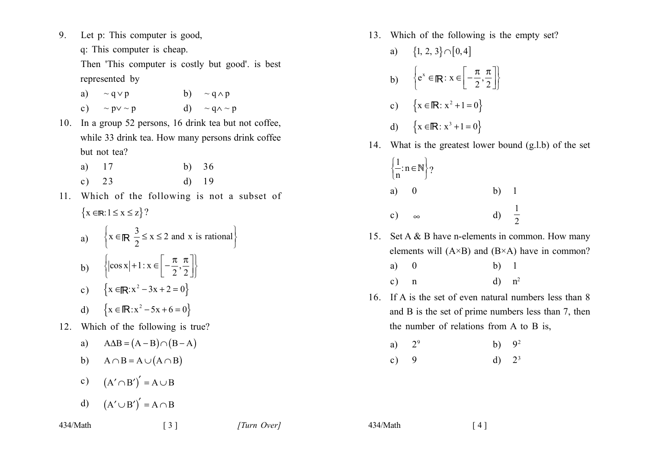- $9<sub>1</sub>$ Let p: This computer is good,
	- q: This computer is cheap.

Then 'This computer is costly but good' is best represented by

- b)  $\sim q \wedge p$ a)  $\sim q \vee p$  $\sim$  p $\vee$   $\sim$  p d)  $\sim$  q $\wedge$   $\sim$  p  $c)$
- 10. In a group 52 persons, 16 drink tea but not coffee, while 33 drink tea. How many persons drink coffee but not tea?
	- 17  $h)$  36 a)  $d)$  19  $c) 23$
- 11. Which of the following is not a subset of  $\{x \in \mathbb{R}: 1 \leq x \leq z\}$ ?
	- a)  $\left\{ x \in \mathbb{R} \middle| \frac{3}{2} \le x \le 2 \text{ and } x \text{ is rational} \right\}$
	- b)  $\{\cos x | +1 : x \in \left[-\frac{\pi}{2}, \frac{\pi}{2}\right]\}$
	- c)  $\{x \in \mathbb{R}: x^2 3x + 2 = 0\}$
	- d)  $\{x \in \mathbb{R}: x^2 5x + 6 = 0\}$
- 12. Which of the following is true?
	- a)  $A\Delta B = (A B) \cap (B A)$
	- b)  $A \cap B = A \cup (A \cap B)$
	- c)  $(A' \cap B')' = A \cup B$
	- d)  $(A' \cup B')' = A \cap B$

 $\lceil 3 \rceil$ 

- 13. Which of the following is the empty set?
	- a)  $\{1, 2, 3\} \cap [0, 4]$
	- b)  $\{e^x \in \mathbb{R} : x \in \left[-\frac{\pi}{2}, \frac{\pi}{2}\right]\}$
	- c)  $\{x \in \mathbb{R} : x^2 + 1 = 0\}$
	- d)  $\{x \in \mathbb{R} : x^3 + 1 = 0\}$
- 14. What is the greatest lower bound (g.l.b) of the set

|    | $\left\{\frac{1}{n}: n \in \mathbb{N}\right\}$ ? |                  |  |
|----|--------------------------------------------------|------------------|--|
| a) | $\overline{\phantom{0}}$                         | $b)$ 1           |  |
| c) | $\infty$                                         | d) $\frac{1}{2}$ |  |

- 15. Set A & B have n-elements in common. How many elements will  $(A \times B)$  and  $(B \times A)$  have in common?
	- a)  $\theta$  $b)$  1  $d)$   $n^2$  $\mathbf{c}$ )  $\mathbf n$
- 16. If A is the set of even natural numbers less than 8 and B is the set of prime numbers less than 7, then the number of relations from A to B is,
	- $2<sup>9</sup>$ a)  $b)$  $9<sup>2</sup>$
	- $d)$  $2<sup>3</sup>$  $\mathbf{c})$  $\mathbf{Q}$

434/Math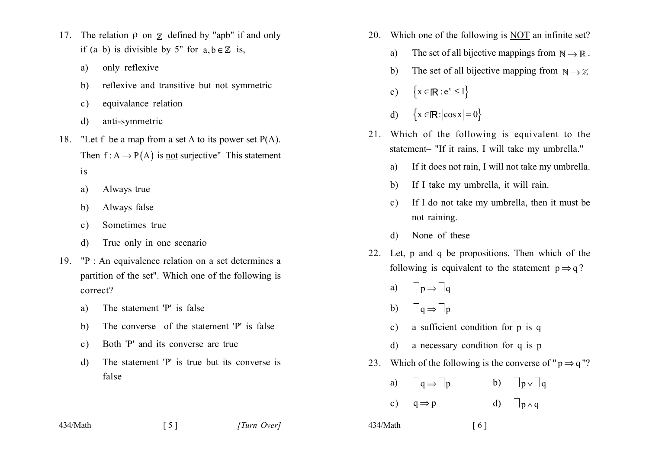- 17. The relation  $\rho$  on  $\chi$  defined by "apb" if and only if (a-b) is divisible by 5" for  $a, b \in \mathbb{Z}$  is,
	- only reflexive a)
	- reflexive and transitive but not symmetric b)
	- equivalance relation  $\mathbf{c})$
	- anti-symmetric  $d)$
- 18. "Let f be a map from a set A to its power set  $P(A)$ . Then  $f : A \rightarrow P(A)$  is not surjective"-This statement
	- $is$
	- Always true a)
	- Always false b)
	- Sometimes true  $\mathbf{c}$ )
	- True only in one scenario d)
- 19. "P: An equivalence relation on a set determines a partition of the set". Which one of the following is correct?
	- The statement 'P' is false a)
	- The converse of the statement 'P' is false b)
	- Both 'P' and its converse are true  $c)$
	- The statement 'P' is true but its converse is  $\mathbf{d}$ false

 $\lceil 5 \rceil$ 

434/Math

- 20. Which one of the following is NOT an infinite set?
	- The set of all bijective mappings from  $\mathbb{N} \to \mathbb{R}$ . a)
	- The set of all bijective mapping from  $\mathbb{N} \to \mathbb{Z}$  $\mathbf{b}$
	- $\{x \in \mathbb{R} : e^x \leq 1\}$  $c)$
	- $\{x \in \mathbb{R} : |\cos x| = 0\}$  $\mathbf{d}$
- 21. Which of the following is equivalent to the statement- "If it rains, I will take my umbrella."
	- If it does not rain, I will not take my umbrella. a)
	- If I take my umbrella, it will rain. b)
	- If I do not take my umbrella, then it must be  $\mathcal{C}$ ) not raining.
	- None of these  $\mathbf{d}$
- 22. Let p and q be propositions. Then which of the following is equivalent to the statement  $p \Rightarrow q$ ?
	- $\Box_{p} \Rightarrow \Box_{q}$  $a)$
	- $\exists q \Rightarrow \exists p$  $b)$
	- a sufficient condition for p is q  $\mathbf{c}$ )
	- a necessary condition for q is p  $d$
- 23. Which of the following is the converse of " $p \Rightarrow q$ "?

| a) $\sqsupset_q \Rightarrow \sqsupset_p$ | b) $\exists p \vee \exists q$ |
|------------------------------------------|-------------------------------|
| c) $q \Rightarrow p$                     | d) $\exists p \wedge q$       |

434/Math

 $\lceil 6 \rceil$